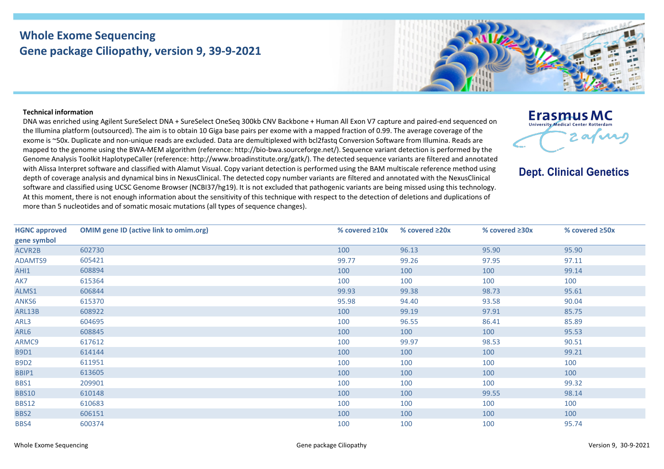## **Whole Exome Sequencing Gene package Ciliopathy, version 9, 39-9-2021**



## **Technical information**

DNA was enriched using Agilent SureSelect DNA + SureSelect OneSeq 300kb CNV Backbone + Human All Exon V7 capture and paired-end sequenced on the Illumina platform (outsourced). The aim is to obtain 10 Giga base pairs per exome with a mapped fraction of 0.99. The average coverage of the exome is ~50x. Duplicate and non-unique reads are excluded. Data are demultiplexed with bcl2fastq Conversion Software from Illumina. Reads are mapped to the genome using the BWA-MEM algorithm (reference: http://bio-bwa.sourceforge.net/). Sequence variant detection is performed by the Genome Analysis Toolkit HaplotypeCaller (reference: http://www.broadinstitute.org/gatk/). The detected sequence variants are filtered and annotated with Alissa Interpret software and classified with Alamut Visual. Copy variant detection is performed using the BAM multiscale reference method using depth of coverage analysis and dynamical bins in NexusClinical. The detected copy number variants are filtered and annotated with the NexusClinical software and classified using UCSC Genome Browser (NCBI37/hg19). It is not excluded that pathogenic variants are being missed using this technology. At this moment, there is not enough information about the sensitivity of this technique with respect to the detection of deletions and duplications of more than 5 nucleotides and of somatic mosaic mutations (all types of sequence changes).

**Erasmus MC** University Medical Center Rotterdan 2 afuns

**Dept. Clinical Genetics** 

| <b>HGNC approved</b> | <b>OMIM gene ID (active link to omim.org)</b> | % covered $\geq 10x$ | % covered $\geq 20x$ | % covered $\geq 30x$ | % covered $\geq$ 50x |
|----------------------|-----------------------------------------------|----------------------|----------------------|----------------------|----------------------|
| gene symbol          |                                               |                      |                      |                      |                      |
| ACVR2B               | 602730                                        | 100                  | 96.13                | 95.90                | 95.90                |
| ADAMTS9              | 605421                                        | 99.77                | 99.26                | 97.95                | 97.11                |
| AHI1                 | 608894                                        | 100                  | 100                  | 100                  | 99.14                |
| AK7                  | 615364                                        | 100                  | 100                  | 100                  | 100                  |
| ALMS1                | 606844                                        | 99.93                | 99.38                | 98.73                | 95.61                |
| ANKS6                | 615370                                        | 95.98                | 94.40                | 93.58                | 90.04                |
| ARL13B               | 608922                                        | 100                  | 99.19                | 97.91                | 85.75                |
| ARL3                 | 604695                                        | 100                  | 96.55                | 86.41                | 85.89                |
| ARL6                 | 608845                                        | 100                  | 100                  | 100                  | 95.53                |
| ARMC9                | 617612                                        | 100                  | 99.97                | 98.53                | 90.51                |
| <b>B9D1</b>          | 614144                                        | 100                  | 100                  | 100                  | 99.21                |
| <b>B9D2</b>          | 611951                                        | 100                  | 100                  | 100                  | 100                  |
| BBIP1                | 613605                                        | 100                  | 100                  | 100                  | 100                  |
| BBS1                 | 209901                                        | 100                  | 100                  | 100                  | 99.32                |
| <b>BBS10</b>         | 610148                                        | 100                  | 100                  | 99.55                | 98.14                |
| <b>BBS12</b>         | 610683                                        | 100                  | 100                  | 100                  | 100                  |
| BBS2                 | 606151                                        | 100                  | 100                  | 100                  | 100                  |
| BBS4                 | 600374                                        | 100                  | 100                  | 100                  | 95.74                |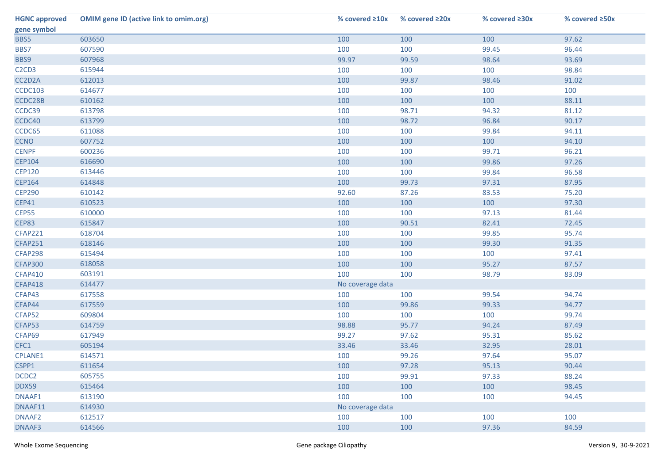| <b>HGNC approved</b>                       | <b>OMIM gene ID (active link to omim.org)</b> | % covered $\geq 10x$ | % covered $\geq 20x$ | % covered ≥30x | % covered ≥50x |
|--------------------------------------------|-----------------------------------------------|----------------------|----------------------|----------------|----------------|
| gene symbol                                |                                               |                      |                      |                |                |
| BBS5                                       | 603650                                        | 100                  | 100                  | 100            | 97.62          |
| BBS7                                       | 607590                                        | 100                  | 100                  | 99.45          | 96.44          |
| BBS9                                       | 607968                                        | 99.97                | 99.59                | 98.64          | 93.69          |
| C <sub>2</sub> C <sub>D</sub> <sub>3</sub> | 615944                                        | 100                  | 100                  | 100            | 98.84          |
| CC2D2A                                     | 612013                                        | 100                  | 99.87                | 98.46          | 91.02          |
| <b>CCDC103</b>                             | 614677                                        | 100                  | 100                  | 100            | 100            |
| CCDC28B                                    | 610162                                        | 100                  | 100                  | 100            | 88.11          |
| CCDC39                                     | 613798                                        | 100                  | 98.71                | 94.32          | 81.12          |
| CCDC40                                     | 613799                                        | 100                  | 98.72                | 96.84          | 90.17          |
| CCDC65                                     | 611088                                        | 100                  | 100                  | 99.84          | 94.11          |
| <b>CCNO</b>                                | 607752                                        | 100                  | 100                  | 100            | 94.10          |
| <b>CENPF</b>                               | 600236                                        | 100                  | 100                  | 99.71          | 96.21          |
| <b>CEP104</b>                              | 616690                                        | 100                  | 100                  | 99.86          | 97.26          |
| <b>CEP120</b>                              | 613446                                        | 100                  | 100                  | 99.84          | 96.58          |
| <b>CEP164</b>                              | 614848                                        | 100                  | 99.73                | 97.31          | 87.95          |
| <b>CEP290</b>                              | 610142                                        | 92.60                | 87.26                | 83.53          | 75.20          |
| <b>CEP41</b>                               | 610523                                        | 100                  | 100                  | 100            | 97.30          |
| CEP55                                      | 610000                                        | 100                  | 100                  | 97.13          | 81.44          |
| CEP83                                      | 615847                                        | 100                  | 90.51                | 82.41          | 72.45          |
| <b>CFAP221</b>                             | 618704                                        | 100                  | 100                  | 99.85          | 95.74          |
| <b>CFAP251</b>                             | 618146                                        | 100                  | 100                  | 99.30          | 91.35          |
| CFAP298                                    | 615494                                        | 100                  | 100                  | 100            | 97.41          |
| <b>CFAP300</b>                             | 618058                                        | 100                  | 100                  | 95.27          | 87.57          |
| <b>CFAP410</b>                             | 603191                                        | 100                  | 100                  | 98.79          | 83.09          |
| <b>CFAP418</b>                             | 614477                                        | No coverage data     |                      |                |                |
| CFAP43                                     | 617558                                        | 100                  | 100                  | 99.54          | 94.74          |
| CFAP44                                     | 617559                                        | 100                  | 99.86                | 99.33          | 94.77          |
| CFAP52                                     | 609804                                        | 100                  | 100                  | 100            | 99.74          |
| CFAP53                                     | 614759                                        | 98.88                | 95.77                | 94.24          | 87.49          |
| CFAP69                                     | 617949                                        | 99.27                | 97.62                | 95.31          | 85.62          |
| CFC1                                       | 605194                                        | 33.46                | 33.46                | 32.95          | 28.01          |
| <b>CPLANE1</b>                             | 614571                                        | 100                  | 99.26                | 97.64          | 95.07          |
| CSPP1                                      | 611654                                        | 100                  | 97.28                | 95.13          | 90.44          |
| DCDC2                                      | 605755                                        | 100                  | 99.91                | 97.33          | 88.24          |
| <b>DDX59</b>                               | 615464                                        | 100                  | 100                  | 100            | 98.45          |
| DNAAF1                                     | 613190                                        | 100                  | 100                  | 100            | 94.45          |
| DNAAF11                                    | 614930                                        | No coverage data     |                      |                |                |
| DNAAF2                                     | 612517                                        | 100                  | 100                  | 100            | 100            |
| DNAAF3                                     | 614566                                        | 100                  | 100                  | 97.36          | 84.59          |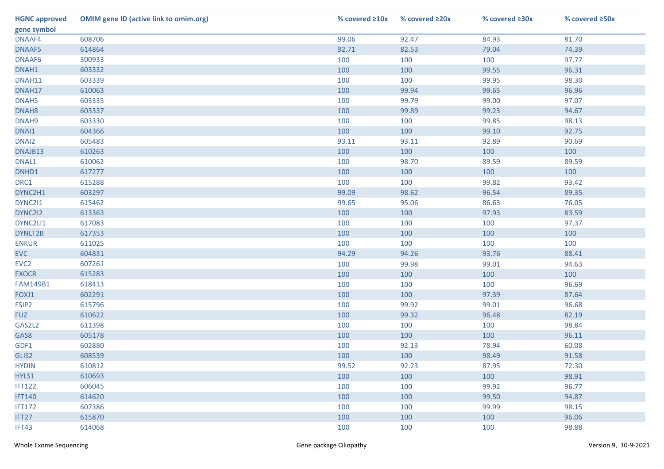| <b>HGNC approved</b> | <b>OMIM gene ID (active link to omim.org)</b> | % covered $\geq 10x$ | % covered $\geq 20x$ | % covered ≥30x | % covered ≥50x |
|----------------------|-----------------------------------------------|----------------------|----------------------|----------------|----------------|
| gene symbol          |                                               |                      |                      |                |                |
| DNAAF4               | 608706                                        | 99.06                | 92.47                | 84.93          | 81.70          |
| DNAAF5               | 614864                                        | 92.71                | 82.53                | 79.04          | 74.39          |
| DNAAF6               | 300933                                        | 100                  | 100                  | 100            | 97.77          |
| DNAH1                | 603332                                        | 100                  | 100                  | 99.55          | 96.31          |
| DNAH11               | 603339                                        | 100                  | 100                  | 99.95          | 98.30          |
| DNAH17               | 610063                                        | 100                  | 99.94                | 99.65          | 96.96          |
| DNAH <sub>5</sub>    | 603335                                        | 100                  | 99.79                | 99.00          | 97.07          |
| DNAH <sub>8</sub>    | 603337                                        | 100                  | 99.89                | 99.23          | 94.67          |
| DNAH9                | 603330                                        | 100                  | 100                  | 99.85          | 98.13          |
| DNAI1                | 604366                                        | 100                  | 100                  | 99.10          | 92.75          |
| DNAI2                | 605483                                        | 93.11                | 93.11                | 92.89          | 90.69          |
| DNAJB13              | 610263                                        | 100                  | 100                  | 100            | 100            |
| DNAL1                | 610062                                        | 100                  | 98.70                | 89.59          | 89.59          |
| DNHD1                | 617277                                        | 100                  | 100                  | 100            | 100            |
| DRC1                 | 615288                                        | 100                  | 100                  | 99.82          | 93.42          |
| DYNC2H1              | 603297                                        | 99.09                | 98.62                | 96.54          | 89.35          |
| DYNC211              | 615462                                        | 99.65                | 95.06                | 86.63          | 76.05          |
| DYNC2I2              | 613363                                        | 100                  | 100                  | 97.93          | 83.59          |
| DYNC2LI1             | 617083                                        | 100                  | 100                  | 100            | 97.37          |
| DYNLT2B              | 617353                                        | 100                  | 100                  | 100            | 100            |
| <b>ENKUR</b>         | 611025                                        | 100                  | 100                  | 100            | 100            |
| <b>EVC</b>           | 604831                                        | 94.29                | 94.26                | 93.76          | 88.41          |
| EVC <sub>2</sub>     | 607261                                        | 100                  | 99.98                | 99.01          | 94.63          |
| EXOC8                | 615283                                        | 100                  | 100                  | 100            | 100            |
| <b>FAM149B1</b>      | 618413                                        | 100                  | 100                  | 100            | 96.69          |
| FOXJ1                | 602291                                        | 100                  | 100                  | 97.39          | 87.64          |
| FSIP2                | 615796                                        | 100                  | 99.92                | 99.01          | 96.68          |
| <b>FUZ</b>           | 610622                                        | 100                  | 99.32                | 96.48          | 82.19          |
| GAS2L2               | 611398                                        | 100                  | 100                  | 100            | 98.84          |
| GAS8                 | 605178                                        | 100                  | 100                  | 100            | 96.11          |
| GDF1                 | 602880                                        | 100                  | 92.13                | 78.94          | 60.08          |
| GLIS2                | 608539                                        | 100                  | 100                  | 98.49          | 91.58          |
| <b>HYDIN</b>         | 610812                                        | 99.52                | 92.23                | 87.95          | 72.30          |
| HYLS1                | 610693                                        | 100                  | 100                  | 100            | 98.91          |
| <b>IFT122</b>        | 606045                                        | 100                  | 100                  | 99.92          | 96.77          |
| <b>IFT140</b>        | 614620                                        | 100                  | 100                  | 99.50          | 94.87          |
| <b>IFT172</b>        | 607386                                        | 100                  | 100                  | 99.99          | 98.15          |
| IFT27                | 615870                                        | 100                  | 100                  | 100            | 96.06          |
| IFT43                | 614068                                        | 100                  | 100                  | 100            | 98.88          |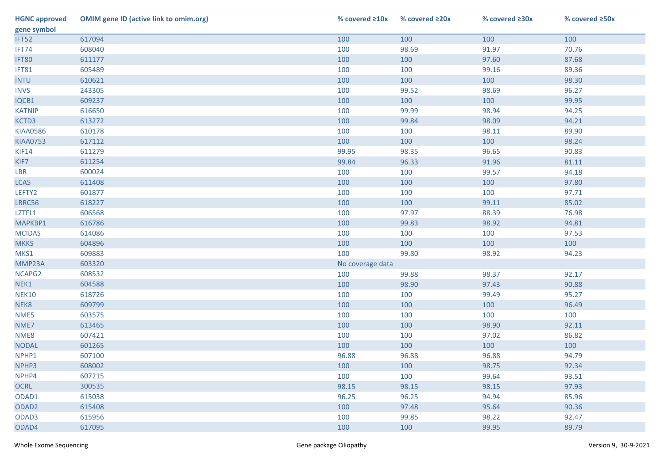| <b>HGNC approved</b> | <b>OMIM gene ID (active link to omim.org)</b> | % covered $\geq 10x$ | % covered ≥20x | % covered ≥30x | % covered ≥50x |
|----------------------|-----------------------------------------------|----------------------|----------------|----------------|----------------|
| gene symbol          |                                               |                      |                |                |                |
| IFT52                | 617094                                        | 100                  | 100            | 100            | 100            |
| IFT74                | 608040                                        | 100                  | 98.69          | 91.97          | 70.76          |
| IFT80                | 611177                                        | 100                  | 100            | 97.60          | 87.68          |
| IFT81                | 605489                                        | 100                  | 100            | 99.16          | 89.36          |
| <b>INTU</b>          | 610621                                        | 100                  | 100            | 100            | 98.30          |
| <b>INVS</b>          | 243305                                        | 100                  | 99.52          | 98.69          | 96.27          |
| IQCB1                | 609237                                        | 100                  | 100            | 100            | 99.95          |
| <b>KATNIP</b>        | 616650                                        | 100                  | 99.99          | 98.94          | 94.25          |
| KCTD3                | 613272                                        | 100                  | 99.84          | 98.09          | 94.21          |
| <b>KIAA0586</b>      | 610178                                        | 100                  | 100            | 98.11          | 89.90          |
| <b>KIAA0753</b>      | 617112                                        | 100                  | 100            | 100            | 98.24          |
| <b>KIF14</b>         | 611279                                        | 99.95                | 98.35          | 96.65          | 90.83          |
| KIF7                 | 611254                                        | 99.84                | 96.33          | 91.96          | 81.11          |
| LBR                  | 600024                                        | 100                  | 100            | 99.57          | 94.18          |
| LCA5                 | 611408                                        | 100                  | 100            | 100            | 97.80          |
| LEFTY2               | 601877                                        | 100                  | 100            | 100            | 97.71          |
| LRRC56               | 618227                                        | 100                  | 100            | 99.11          | 85.02          |
| LZTFL1               | 606568                                        | 100                  | 97.97          | 88.39          | 76.98          |
| MAPKBP1              | 616786                                        | 100                  | 99.83          | 98.92          | 94.81          |
| <b>MCIDAS</b>        | 614086                                        | 100                  | 100            | 100            | 97.53          |
| <b>MKKS</b>          | 604896                                        | 100                  | 100            | 100            | 100            |
| MKS1                 | 609883                                        | 100                  | 99.80          | 98.92          | 94.23          |
| MMP23A               | 603320                                        | No coverage data     |                |                |                |
| NCAPG2               | 608532                                        | 100                  | 99.88          | 98.37          | 92.17          |
| NEK1                 | 604588                                        | 100                  | 98.90          | 97.43          | 90.88          |
| <b>NEK10</b>         | 618726                                        | 100                  | 100            | 99.49          | 95.27          |
| NEK8                 | 609799                                        | 100                  | 100            | 100            | 96.49          |
| NME5                 | 603575                                        | 100                  | 100            | 100            | 100            |
| NME7                 | 613465                                        | 100                  | 100            | 98.90          | 92.11          |
| NME8                 | 607421                                        | 100                  | 100            | 97.02          | 86.82          |
| <b>NODAL</b>         | 601265                                        | 100                  | 100            | 100            | 100            |
| NPHP1                | 607100                                        | 96.88                | 96.88          | 96.88          | 94.79          |
| NPHP3                | 608002                                        | 100                  | 100            | 98.75          | 92.34          |
| NPHP4                | 607215                                        | 100                  | 100            | 99.64          | 93.51          |
| <b>OCRL</b>          | 300535                                        | 98.15                | 98.15          | 98.15          | 97.93          |
| ODAD1                | 615038                                        | 96.25                | 96.25          | 94.94          | 85.96          |
| ODAD <sub>2</sub>    | 615408                                        | 100                  | 97.48          | 95.64          | 90.36          |
| ODAD <sub>3</sub>    | 615956                                        | 100                  | 99.85          | 98.22          | 92.47          |
| ODAD4                | 617095                                        | 100                  | 100            | 99.95          | 89.79          |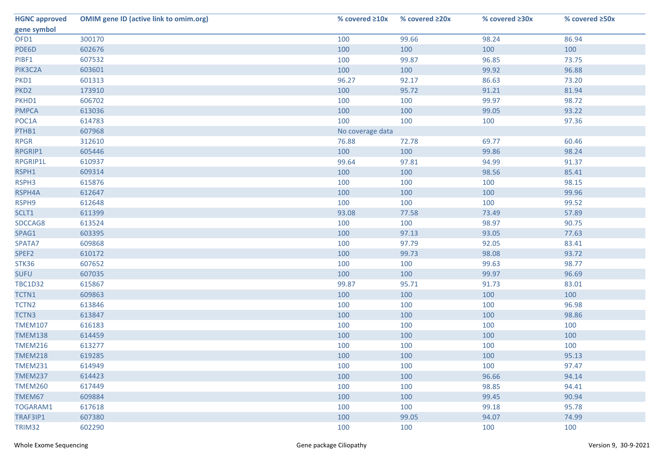| <b>HGNC approved</b> | <b>OMIM gene ID (active link to omim.org)</b> | % covered $\geq 10x$ | % covered ≥20x | % covered $\geq 30x$ | % covered ≥50x |
|----------------------|-----------------------------------------------|----------------------|----------------|----------------------|----------------|
| gene symbol          |                                               |                      |                |                      |                |
| OFD1                 | 300170                                        | 100                  | 99.66          | 98.24                | 86.94          |
| PDE6D                | 602676                                        | 100                  | 100            | 100                  | 100            |
| PIBF1                | 607532                                        | 100                  | 99.87          | 96.85                | 73.75          |
| PIK3C2A              | 603601                                        | 100                  | 100            | 99.92                | 96.88          |
| PKD1                 | 601313                                        | 96.27                | 92.17          | 86.63                | 73.20          |
| PKD <sub>2</sub>     | 173910                                        | 100                  | 95.72          | 91.21                | 81.94          |
| PKHD1                | 606702                                        | 100                  | 100            | 99.97                | 98.72          |
| <b>PMPCA</b>         | 613036                                        | 100                  | 100            | 99.05                | 93.22          |
| POC1A                | 614783                                        | 100                  | 100            | 100                  | 97.36          |
| PTHB1                | 607968                                        | No coverage data     |                |                      |                |
| <b>RPGR</b>          | 312610                                        | 76.88                | 72.78          | 69.77                | 60.46          |
| RPGRIP1              | 605446                                        | 100                  | 100            | 99.86                | 98.24          |
| RPGRIP1L             | 610937                                        | 99.64                | 97.81          | 94.99                | 91.37          |
| RSPH1                | 609314                                        | 100                  | 100            | 98.56                | 85.41          |
| RSPH3                | 615876                                        | 100                  | 100            | 100                  | 98.15          |
| RSPH4A               | 612647                                        | 100                  | 100            | 100                  | 99.96          |
| RSPH9                | 612648                                        | 100                  | 100            | 100                  | 99.52          |
| SCLT1                | 611399                                        | 93.08                | 77.58          | 73.49                | 57.89          |
| SDCCAG8              | 613524                                        | 100                  | 100            | 98.97                | 90.75          |
| SPAG1                | 603395                                        | 100                  | 97.13          | 93.05                | 77.63          |
| SPATA7               | 609868                                        | 100                  | 97.79          | 92.05                | 83.41          |
| SPEF2                | 610172                                        | 100                  | 99.73          | 98.08                | 93.72          |
| STK36                | 607652                                        | 100                  | 100            | 99.63                | 98.77          |
| <b>SUFU</b>          | 607035                                        | 100                  | 100            | 99.97                | 96.69          |
| <b>TBC1D32</b>       | 615867                                        | 99.87                | 95.71          | 91.73                | 83.01          |
| TCTN1                | 609863                                        | 100                  | 100            | 100                  | 100            |
| TCTN <sub>2</sub>    | 613846                                        | 100                  | 100            | 100                  | 96.98          |
| TCTN3                | 613847                                        | 100                  | 100            | 100                  | 98.86          |
| <b>TMEM107</b>       | 616183                                        | 100                  | 100            | 100                  | 100            |
| <b>TMEM138</b>       | 614459                                        | 100                  | 100            | 100                  | 100            |
| <b>TMEM216</b>       | 613277                                        | 100                  | 100            | 100                  | 100            |
| <b>TMEM218</b>       | 619285                                        | 100                  | 100            | 100                  | 95.13          |
| <b>TMEM231</b>       | 614949                                        | 100                  | 100            | 100                  | 97.47          |
| <b>TMEM237</b>       | 614423                                        | 100                  | 100            | 96.66                | 94.14          |
| <b>TMEM260</b>       | 617449                                        | 100                  | 100            | 98.85                | 94.41          |
| TMEM67               | 609884                                        | 100                  | 100            | 99.45                | 90.94          |
| TOGARAM1             | 617618                                        | 100                  | 100            | 99.18                | 95.78          |
| TRAF3IP1             | 607380                                        | 100                  | 99.05          | 94.07                | 74.99          |
| TRIM32               | 602290                                        | 100                  | 100            | 100                  | 100            |